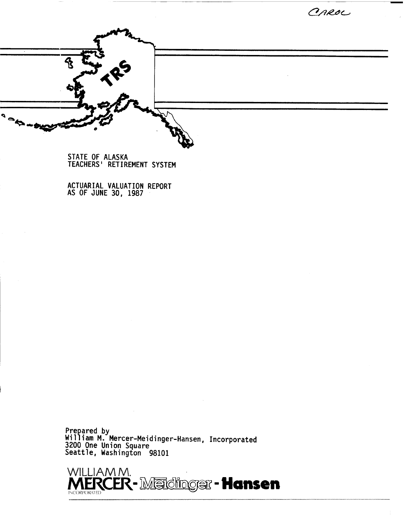CAROL



**STATE OF ALASKA TEACHERS** ' **RETIREMENT SYSTEM** 

**ACTUARIAL VALUATION REPORT AS OF JUNE 30, 1987** 

Prepared by<br>Hilliam M. Mercer-Meidinger-Hansen, Incorporated 1200 One Union Square<br>eattle, Washington 98101

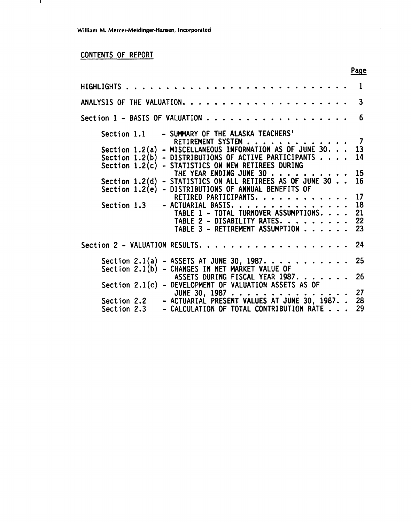## CONTENTS OF REPORT

 $\mathbf{L}$ 

|                            |                                                                                                                                                                                                                                                                              | Page                 |
|----------------------------|------------------------------------------------------------------------------------------------------------------------------------------------------------------------------------------------------------------------------------------------------------------------------|----------------------|
|                            |                                                                                                                                                                                                                                                                              | 1                    |
|                            |                                                                                                                                                                                                                                                                              | 3                    |
|                            | Section 1 – BASIS OF VALUATION $\ldots \ldots \ldots \ldots \ldots \ldots$                                                                                                                                                                                                   | 6                    |
| Section 1.1                | - SUMMARY OF THE ALASKA TEACHERS'<br>RETIREMENT SYSTEM                                                                                                                                                                                                                       | - 7                  |
| Section $1.2(b)$           | Section $1.2(a)$ - MISCELLANEOUS INFORMATION AS OF JUNE 30.<br>- DISTRIBUTIONS OF ACTIVE PARTICIPANTS                                                                                                                                                                        | 13<br>14             |
|                            | Section 1.2(c) - STATISTICS ON NEW RETIREES DURING<br>THE YEAR ENDING JUNE 30<br>$\begin{array}{cccccccccccccc} \bullet & \bullet & \bullet & \bullet & \bullet & \bullet & \bullet & \bullet \end{array}$<br>Section $1.2(d)$ - STATISTICS ON ALL RETIREES AS OF JUNE 30 16 | 15                   |
|                            | Section 1.2(e) - DISTRIBUTIONS OF ANNUAL BENEFITS OF<br>RETIRED PARTICIPANTS.                                                                                                                                                                                                | 17                   |
| Section 1.3                | - ACTUARIAL BASIS<br>.<br>TABLE 1 - TOTAL TURNOVER ASSUMPTIONS.<br>TABLE 2 - DISABILITY RATES.<br>TABLE 3 - RETIREMENT ASSUMPTION                                                                                                                                            | 18<br>21<br>22<br>23 |
|                            |                                                                                                                                                                                                                                                                              | 24                   |
| Section $2.1(b)$           | Section 2.1(a) - ASSETS AT JUNE 30, 1987.<br>- CHANGES IN NET MARKET VALUE OF                                                                                                                                                                                                | 25                   |
| Section $2.1(c)$           | ASSETS DURING FISCAL YEAR 1987.<br>- DEVELOPMENT OF VALUATION ASSETS AS OF                                                                                                                                                                                                   | 26                   |
| Section 2.2<br>Section 2.3 | JUNE 30, 1987<br>- ACTUARIAL PRESENT VALUES AT JUNE 30, 1987. .<br>- CALCULATION OF TOTAL CONTRIBUTION RATE                                                                                                                                                                  | 27<br>28<br>29       |

 $\mathcal{L}$ 

 $\hat{\mathcal{A}}$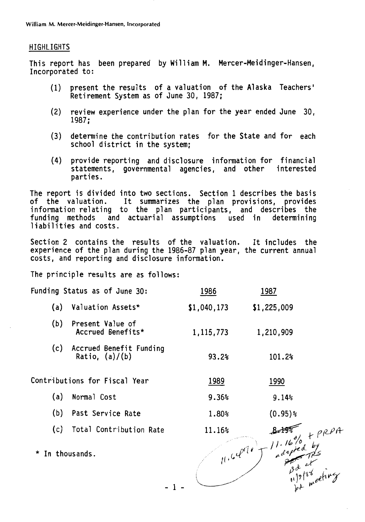#### **HIGHLIGHTS**

This report has been prepared by William M. Mercer-Meidinger-Hansen, Incorporated to:

- present the results of a valuation of the Alaska Teachers'  $(1)$ Retirement System as of June 30, 1987;
- $(2)$ review experience under the plan for the year ended June 30,  $1987:$
- determine the contribution rates for the State and for each  $(3)$ school district in the system:
- provide reporting and disclosure information for financial  $(4)$ statements, governmental agencies, and other interested parties.

The report is divided into two sections. Section 1 describes the basis of the valuation. It summarizes the plan provisions, provides<br>information relating to the plan participants, and describes the funding methods and actuarial assumptions used in determining liabilities and costs.

Section 2 contains the results of the valuation. It includes the experience of the plan during the 1986-87 plan year, the current annual costs, and reporting and disclosure information.

The principle results are as follows:

| Funding Status as of June 30:                      | 1986        | <u>1987</u>                |  |
|----------------------------------------------------|-------------|----------------------------|--|
| Valuation Assets*<br>(a)                           | \$1,040,173 | \$1,225,009                |  |
| (b)<br>Present Value of<br>Accrued Benefits*       | 1, 115, 773 | 1,210,909                  |  |
| (c)<br>Accrued Benefit Funding<br>Ratio, $(a)/(b)$ | 93.2%       | 101.2%                     |  |
| Contributions for Fiscal Year                      | 1989        | 1990                       |  |
| Normal Cost<br>(a)                                 | 9.36%       | 9.14%                      |  |
| Past Service Rate<br>(b)                           | 1.80%       | $(0.95)$ %                 |  |
| Total Contribution Rate<br>(c)                     | 11.16%      |                            |  |
| * In thousands.                                    |             | $11.64$ order $11.16\%$ by |  |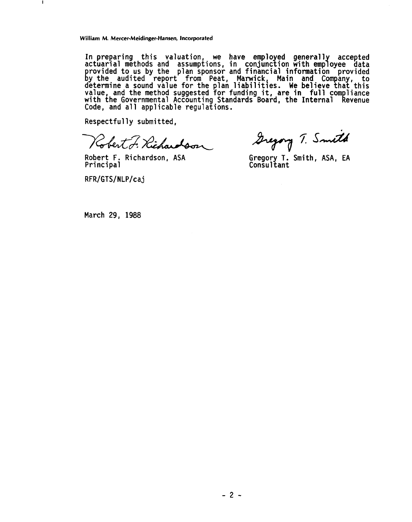**In preparing this valuation, we have employed general 1 accepted actuarial methods and assumptions, in conjunction with emp <sup>7</sup>oyee data**  provided to us by the plan sponsor and financial information provided<br>by the audited report from Peat, Marwick, Main and Company, to **determine a sound value for the plah liabilit~es. We believe that this value, and the method suggested for funding it, are in full com 1 iance with the Governmental Accounting Standards Board, the Internal evenue Code, and a1 1 applicable regulations. li** 

**Respectful ly submitted,** 

Robert F. Richardson

**Robert F. Richardson, ASA** 

RFR/GTS/NLP/caj

**I** 

Gregory T. Smith

**Principal Gregory T. Smith, ASA, EA Consultant** 

**March 29, 1988**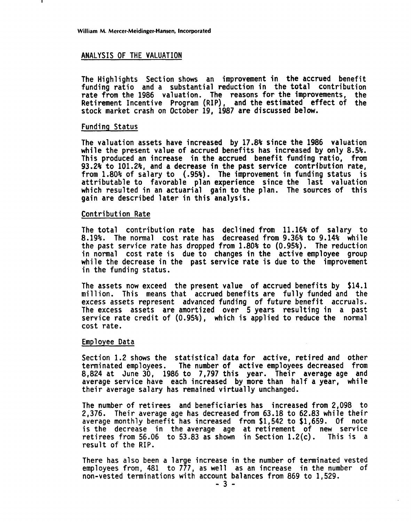#### ANALYSIS OF THE VALUATION

The Highlights Section shows an improvement in the accrued benefit funding ratio and a substantial reduction in the total contribution rate from the 1986 valuation. The reasons for the improvements. the rate from the 1986 valuation. The reasons for the improvements, Retirement Incentive Program (RIP), and the estimated effect of the stock market crash on October 19, 1987 are discussed below.

#### Funding Status

The valuation assets have increased by 17.8% since the 1986 valuation while the present value of accrued benefits has increased by only 8.5%. This produced an increase in the accrued benefit funding ratio, from 93.2% to 101.2%, and a decrease in the past service contribution rate, from 1.80% of salary to (.95%). The improvement in funding status is attributable to favorable plan experience since the last valuation which resulted in an actuarial gain to the plan. The sources of this gain are described later in this analysis.

#### Contribution Rate

The total contribution rate has declined from 11.16% of salary to 8.19%. The normal cost rate has decreased from 9.36% to 9.14% while the past service rate has dropped from 1.80% to (0.95%). The reduction in normal cost rate is due to changes in the active employee group while the decrease in the past service rate is due to the improvement in the funding status.

The assets now exceed the present value of accrued benefits by \$14.1 million. This means that accrued benefits are fully funded and the excess assets represent advanced funding of future benefit accruals. The excess assets are amortized over 5 years resulting in a past service rate credit of (0.95%), which is applied to reduce the normal cost rate.

#### Employee Data

Section 1.2 shows the statistical data for active, retired and other terminated employees. The number of active employees decreased from 8,824 at June 30, 1986 to 7,797 this year. Their average age and average service have each increased by more than half a year, while their average salary has remained virtually unchanged.

The number of retirees and beneficiaries has increased from 2,098 to 2,376. Their average age has decreased from 63.18 to 62.83 while their average monthly benefit has increased from \$1,542 to \$1,659. Of note is the decrease in the average age at retirement of new service retirees from  $56.06$  to  $53.83$  as shown in Section  $1.2(c)$ . This is a result of the RIP.

There has also been a large increase in the number of terminated vested employees from, 481 to 777, as well as an increase in the number of non-vested terminations with account balances from 869 to 1,529.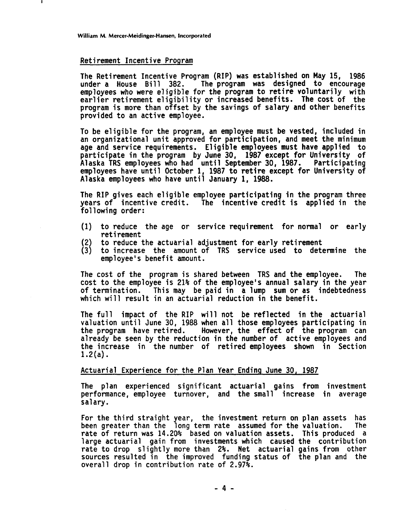#### **Retirement Incentive Program**

**The Retirement Incentive Program (RIP) was established on May 15, 1986**  The program was designed to encourage **employees who were eligible for the program to retire voluntarily with**  earlier retirement eligibility or increased benefits. The cost of the **program is more than offset by the savings of salary and other benefits provided to an active employee.** 

**To be eligible for the program, an employee must be vested, included in an organizational unit approved for participation, and meet the minimum age and service requirements. Eligible employees must have applied to participate in the program by June 30, 1987 except for University of Alaska TRS employees who had until September 30, 1987. Participating employees have until October 1, 1987 to retire except for University of**  Alaska employees who have until January 1, 1988.

**The RIP gives each eligible employee participating in the program three years of incentive credit. The incentive credit is applied in the following order:** 

- **(1) to reduce the age or service requirement for normal or early ret i rement**
- **(2) to reduce the actuarial adjustment for early retirement**
- **(3) to increase the amount of TRS service used to determine the employee's benefit amount.**

**The cost of the program is shared between TRS and the employee. The cost to the employee is 21% of the employee's annual salary in the year of termination. This may be paid in a lump sum or as indebtedness which will result in an actuarial reduction in the benefit.** 

**The full impact of the RIP will not be reflected in the actuarial valuation until June 30, 1988 when all those employees participating in the program have retired. However, the effect of the program can already be seen by the reduction in the number of active employees and the increase in the number of retired employees shown in Section 1.2(a).** 

#### **Actuarial Experience for the Plan Year Ending June 30, 1987**

**The plan experienced significant actuarial gains from investment performance, employee turnover, and the small increase in average salary.** 

**For the third straight year, the investment return on plan assets has**  been greater than the long term rate assumed for the valuation. **rate of return was 14.20% based on valuation assets. This produced a large actuarial gain from investments which caused the contribution rate to drop slightly more than 2%. Net actuarial gains from other sources resulted in the improved funding status of the plan and the overall drop in contribution rate of 2.97%.**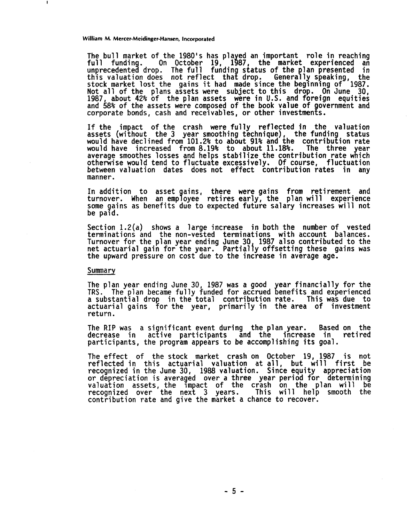The bull market of the 1980's has played an important role in reaching<br>full funding. On October 19, 1987, the market experienced an<br>unprecedented drop. The full funding status of the plan presented in<br>this valuation does, stock market lost the gains it had made since the beginning of 1987. Not all of the plans assets were subject to this drop. On June 30, 1987, about 42% of the plan assets were in U.S. and foreign equities and 58% of the assets were composed of the book value of government and corporate bonds, cash and receivables, or other investments.

If the impact of the crash were fully reflected in the valuation assets (without the 3 year smoothing technique), the funding status would have declined from 101.2% to about 91% and the contribution rate<br>would have increased from 8.19% to about 11.18%. The three year would have increased from 8.19% to about 11.18%. average smoothes losses and helps stabilize the contribution rate which otherwise would tend to fluctuate excessively. Of course, fluctuation between valuation dates does not effect contribution rates in any manner.

In addition to asset gains, there were gains from retirement and turnover. When an emp **9** oyee retires early, the plan will experience some gains as benefits due to expected future salary increases will not be paid.

Section 1.2(a) shows a large increase in both the number of vested terminations and the non-vested terminations with account balances. Turnover for the plan year ending June 30, 1987 also contributed to the net actuarial gain for the year. Partially offsetting these gains was the upward pressure on cost due to the increase in average age.

#### Summary

The plan year ending June 30, 1987 was a good **TRS.** The plan became fully funded for accrued a substantial drop in the total contribution actuarial gains for the year, primarily in return. year financially for the<br>benefits and experienced rate. This was due to the area of investment

The RIP was a significant event during the plan year. Based on the decrease in active participants and the increase in retired decrease in active participants and the increase in participants, the program appears to be accomplishing its goal.

The effect of the stock market crash on October 19, 1987 is not reflected in this actuarial valuation at all, but will first be recognized in the June 30, 1988 valuation. Since equity appreciation<br>or depreciation is averaged over a three year period for determining or depreciation is averaged over a three year period for determining<br>valuation assets, the impact of the crash on the plan will be recognized over the next 3 years. This will help smooth the contribution rate and give the market a chance to recover.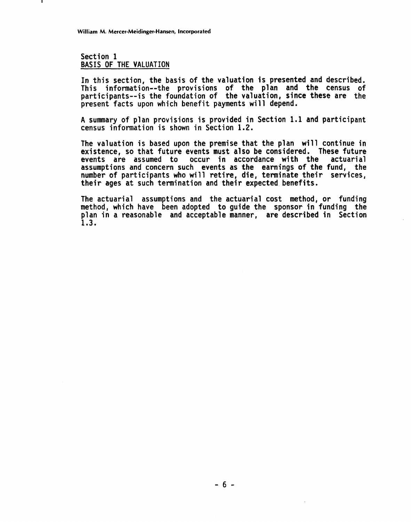**Section 1 BASIS OF THE VALUATION** 

**In this section, the basis of the valuation is presented and described. This information--the provisions of the plan and the census of participants--is the foundation of the valuation, since these are the present facts upon which benefit payments wi 11 depend.** 

**A summary of plan provisions is provided in Section 1.1 and participant census information is shown in Section 1.2.** 

**The valuation is based upon the premise that the plan will continue in existence, so that future events must also be considered. These future**  events are assumed to occur in accordance with the **assumptions and concern such events as the earnings of the fund, the number of participants who wi 11 reti re, die, terminate their services, their ages at such termination and their expected benefits.** 

**The actuarial assumptions and the actuarial cost method, or funding method, which have been adopted to guide the sponsor in funding the plan in a reasonable and acceptable manner, are described in Section 1.3.**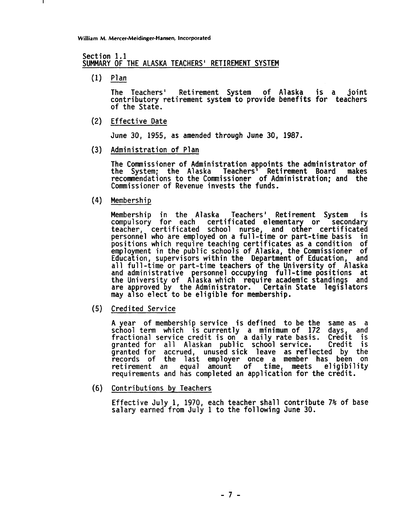# **Section 1.1 SUMMARY OF THE ALASKA TEACHERS' RETIREMENT SYSTEM**  Mercer-Meiding<br>1.1<br><u>OF THE A<br>Plan</u><br>The Teac

**The Teachers' Retirement System of Alaska is a joint contributory retirement system to provide benefits for teachers of the State.** 

**Effective Date** 

**June 30, 1955, as amended through June 30, 1987.** 

**Admini stration of Plan**   $(3)$ 

> **The Commissioner of Admini stration appoints the admini strator of the System; the A1 aska Teachers Retirement Board makes recommendations to the Commissioner of Administration; and the Commissioner of Revenue invests the funds.**

**Membership** 

**Membership in the Alaska Teachers' Retirement System is**  compulsory for each certificated elementary or secondary teacher, certificated school nurse, and other certificated **personnel who are employed on a full-time or part-time basis in positions which require teaching certificates as a condition of employment in the public schools of Alaska, the Commissioner of Education, supervi sors within the Department of Education, and all full-time or part-time teachers of the University of Alaska and administrative ersonnel occupying full -time positions at**  the University of Alaska which require academic standings and<br>are approved by the Administrator. Certain State legislators are approved by the Administrator. Certain State legislators may also elect to be eligible for membership.

**Credited Service** 

**A ear of membership service is defined to be the same as a sc** g **ool term which is currently a minimum of 172 days, and fractional service credit is on a daily rate basis. Credit is granted for all Alaskan public school service. Credit is granted for accrued, unused sick leave as reflected by the records of the last employer once a member has been on retirement an equal amount of time, meets el igibi 1 ity requirements and has completed an application for the credit.** 

**Contributions by Teachers** 

**Effective Julv 1. 1970. each teacher shall contribute 7% of base**  salary earned from July 1 to the following June 30.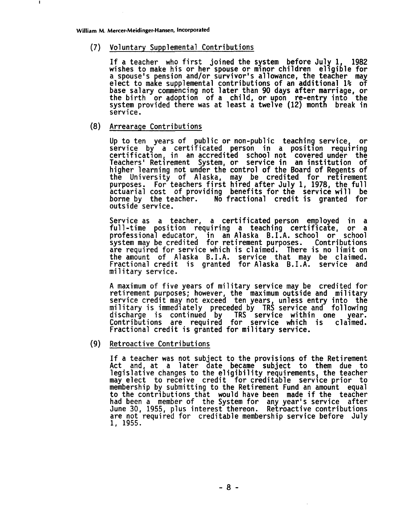#### **Voluntary Supplemental Contributions**

**If a teacher who first joined the system before July 1, 1982 wishes to make his or her spouse or minor children eligible for a** spouse to make supplemental contributions of an additional 1% of **base salary commencing not later than 90 days after marriage, or**  the birth or adoption of a child, or upon re-entry into the<br>system provided there was at least a twelve (12) month break in **service.** 

#### **(8) Arrearage Contributions**

**Up to ten years of pub1 ic or non-public teaching service, or service by a certificated person in a position requiring certification, in an accredited school not covered under the**  Teachers' Retirement System, or service in an institution of higher learning not under the control of the Board of Regents of higher learning not under the control of the Board of Regents of<br>the University of Alaska, may be credited for retirement<br>purposes. For teachers first hired after July 1, 1978, the full **actuarial cost of providing benefits for the service will be borne by the teacher. No fractional credit is granted for outside service.** 

**Service as a teacher, a certificated person employed in a full-time osition requiring a teaching certificate, or a**  Service as a teacher, a c<mark>ertificated person employed in a</mark><br>full-time position requiring a teaching certificate, or a<br>professional educator, in an-Alaska B.I.A. school or school<br>system-may-be-credited for-retirement-purpos **system may be credited for retirement purposes. Contributions are required for service which is claimed. There is no limit on the amount of Alaska B.I.A. service that may be claimed. Fractional credit is granted for Alaska B.I.A. service and military service.** 

**A maximum of five years of mi 1 itary service may be credited for**  retirement purposes; however, the maximum outside and military<br>service credit may not exceed ten years, unless entry into the **military is immediately preceded by TRS service and following discharge is continued by TRS service within one year. Contributions are required for service which is claimed.**  Fractional credit is granted for military service.

#### **(9) Retroactive Contributions**

**If a teacher was not subject to the provisions of the Retirement Act and, at a later date became subject to them due to legislative changes to the el igibi 1 ity requirements, the teacher may elect to receive credit for creditable service prior to membership by submitting to the Retirement Fund an amount equal to the contributions that would have been made if the teacher had been a member of the System for any year's service after June 30, 1955, plus interest thereon. Retroactive contributions are not requi red for creditable membership service before July 1, 1955.**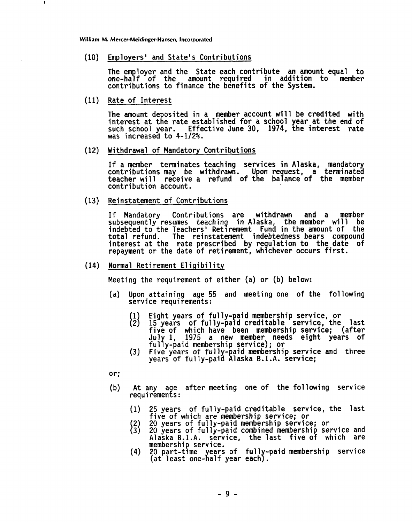**Employers' and State's Contributions** 

The employer and the State each contribute an amount equal to one-half of the amount required in addition to member amount required in addition to **contributions to finance the benefits of the System.** 

**Rate of Interest** 

J.

The amount deposited in a member account will be credited with<br>interest at the rate established for a school year at the end of **such school year. Effective June 30, 1974, the interest rate was increased to 4-112%.** 

**Withdrawal of Mandatory Contributions** 

**If a member terminates teaching services in Alaska, mandatory**  contributions may be withdrawn. Upon reguest, a terminated **contribution account.**  teacher will receive a refund of the balance of the member

**Reinstatement of Contributions** 

**If Mandatory Contributions are withdrawn and a member subsequently resumes teaching in Alaska, the member will be indebted to the Teachersi Retirement Fund in the amount of the total refund. The reinstatement indebtedness bears compound interest at the rate prescribed by regulation to the date of repayment or the date of retirement, whichever occurs first.** 

(14) Normal Retirement Eligibility

**Meeting the requirement of either (a) or (b) below:** 

- **(a) Upon attaining age 55 and meeting one of the following service requirements:** 
	-
	- **Eight years of ful ly-paid membership service, or** [ **15 years of fully-paid creditable service, the last five of which have been membership service; (after**  -pa: **1975 a new member needs eight years of ful y-paid membership service)** ; **or**
	- **(3) Five years of fully-paid membership service and three years of ful ly-paid Alaska 8. I .A. service;**
- **or;**
- (b) At any age after meeting one of the following service **requ i remen** a **s** :
	- **(1) 25 years of fully-paid creditable service, the last five of which are membership service; or**
	-
	- **20 years of fully-paid membership service; or** [ **20 years of fully-paid combined membership service and Alaska B.I.A. service, the last five of which are membership service.**
	- (4) 20 part-time years of fully-paid membership service (at least one-half year each).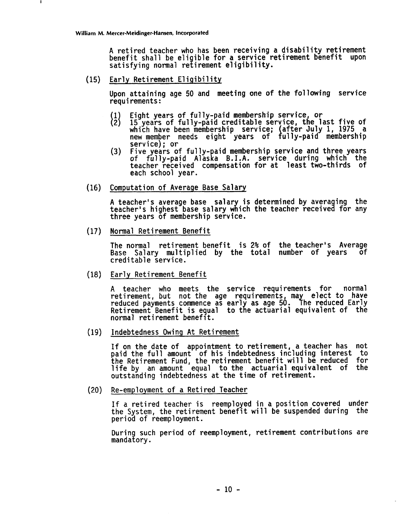**A retired teacher who has been receiving a disability retirement benefit shall be eligible for a service retirement benefit upon satisfying normal retirement eligibility.** 

 $(15)$ **Early Retirement Eligibility** 

**Upon attaining age 50 and meeting one of the following serv requi rements** :

- $\{1\}\$ **Eight years of fully-paid membership service, or**
- **15 years of fully-paid creditable service, the last five which have been membership service; after July 1, 1975**  which have been membership service; (after July 1, 1975)<br>hew member needs eight years of fully-paid membersh:<br>service); or
- **(3) Five years of fully- aid membership service and three years of fully-paid Alaska B.I.A.** service during which the service fully-paid Alaska B.I.A. service during which the **teacher received compensation for at 1 east two-thi rds of each school year.**
- **Computation of Average Base Salary**   $(16)$

**A** teacher's average base salary is determined by averaging the **Computation of Average Base Salary<br>A teacher's average base salary is determined by averaging the<br>teacher's highest base salary which the teacher received for any<br>three years of membership service. three years of membership service.** 

 $(17)$ **Normal Retirement Benefit** 

> **The normal retirement benefit is 2% of the teacher's Average Base Salary multiplied by the total number of years of creditable service.**

 $(18)$ **Early Ret i rement Benefit** 

> **A teacher who meets the service requirements for normal**  retirement, but not the age requirements, may elect to have reduced payments commence as early as age 50. The reduced Larly Retirement Benefit is equal to the actuarial equivalent of the <br>normal retirement benefit.

**Indebtedness Owing At Reti rement** 

**If on the date of appointment to retirement, a teacher has not paid the full amount of his indebtedness including interest to the Retirement Fund, the retirement benefit will be reduced for life by an amount equal to the actuarial equivalent of the outstanding indebtedness at the time of retirement.** 

**Re-employment of a Retired Teacher** 

**If a retired teacher is reemployed in a position covered under the System, the retirement benefit will be suspended during the period of reemployment.** 

**During such period of reemployment, retirement contributions are mandatory.**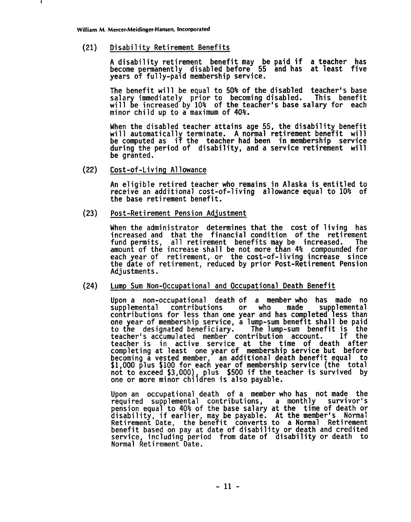$(21)$ **Di sabi 1 i ty Retirement Benefits** 

> **A disability retirement benefit may be paid if a teacher has become permanently disabled before 55 and has at least five**  years of fully-paid membership service.

> **The benefit will be equal to 50% of the disabled teacher's base**  salary immediately prior to becoming disabled. This benefit<br>will be increased by 10% of the teacher's base salary for each **minor child up to a maximum of 40%.**

> **When the disabled teacher attains age 55, the disability benefit wi 11 automatical 1 terminate. A normal retirement benefit wi 11 be computed as i% the teacher had been in membership service during the period of disability, and a service retirement will be granted.**

 $(22)$ **Cost-of-Living A1 lowance** 

> **An eligible retired teacher who remains in Alaska is entitled to receive an additional cost-of-living a1 lowance equal to 10% of the base ret i rement benefit** .

 $(23)$ **Post-Ret i rement Pension Adjustment** 

> **When the administrator determines that the cost of living has increased and that the financial condition of the retirement**  fund permits, all retirement benefits may be increased. amount of the increase shall be not more than 4% compounded for **each year of retirement, or the cost-of-living increase since the date of retirement, reduced by prior Post-Retirement Pension Adjustments.**

#### $(24)$ **Lump Sum Non-Occupational and Occupational Death Benefit**

**Upon a non-occupational death of a member who has made no**  supplemental contributions or who made supplemental<br>contributions for less than one year and has completed less than one year of membership service, a lump-sum benefit shall be paid to the designated beneficiary. The lump-sum benefit is the to the designated beneficiary. The lump-sum benefit is the <br>teacher's accumulated member contribution account. If the **teacher's accumulated member contribution account. teacher is in active service at the time of death after completing at least one year of membership service but before becoming a vested member, an additional death benefit equal to \$1,000 plus \$100 for each year of membership service (the total not to exceed \$3,000) plus \$500 if the teacher is survived by one or more minor children is also payable.** 

**Upon an occupational death of a member who has not made the**  required supplemental contributions, a monthly **pension equa! to 40% of the base salary at the time of death or disability, if earlier, may be payable. At the member's Normal Retirement Date, the benefit converts to a Normal Retirement benefit based on pay at date of disability or death and credited service, including period from date of disability or death to Normal Ret i rement Date.**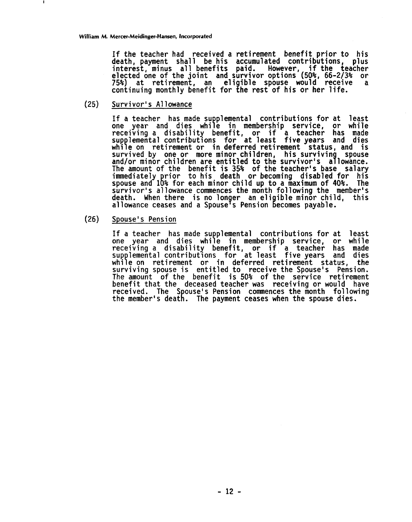**If the teacher had received a retirement benefit prior to his death, payment shall be his accumulated contributions, plus interest, minus all benefits paid. However, if the teacher elected one of the joint and survivor options (50%, 66-213% or 75%) at retirement, an eli ible spouse would receive a continuing monthly benefits** paid. However, if the teacher elected one of the joint and survivor options (50%, 66-2/3%) at retirement, an eligible spouse would receive continuing monthly benefit for the rest of his or her

**(25) Survi vorl s A1 1 owance** 

If a teacher has made supplemental contributions for at least **one year and dies whi** P **e in membership service, or while receiving a disability benefit, or if a teacher has made sup lemental contributions for at least five years and dies whi** e **e on retirement or in deferred retirement status, and is**  survived by one or more minor children, his surviving spouse and/or minor children are entitled to the survivor's allowance. **The amount of the benefit is 35% of the teacher's base salary**  immediately prior to his death or becoming disabled for his<br>spouse and 10% for each minor child up to a maximum of 40%. The **survivor's allowance commences the month following the member's**  death. When there is no longer an eligible minor child, this allowance ceases and a Spouse's Pension becomes payable.

 $(26)$ **Spouse** ' **s Pension** 

If a teacher has made supplemental contributions for at least one year and dies while in membership service, or while **ore in the service in the service of the service of the set of the set of the set of the set of the set of the**<br> **one year and dies while in membership service, or while**<br> **receiving a disability benefit, or if a teacher sup lemental contributions for at least five years and dies which is a set of the control of the control of the control of the supplemental contributions for at least five years and dies**<br>while on retirement or in deferred retirement status, the<br>surviving spouse is entitled to rec **surviving spouse is entitled to receive the Spouse's Pension. The amount of the benefit is 50% of the service retirement benefit that the deceased teacher was receiving or would have**  received. The Spouse's Pension commences the month following the member's death. The payment ceases when the spouse dies.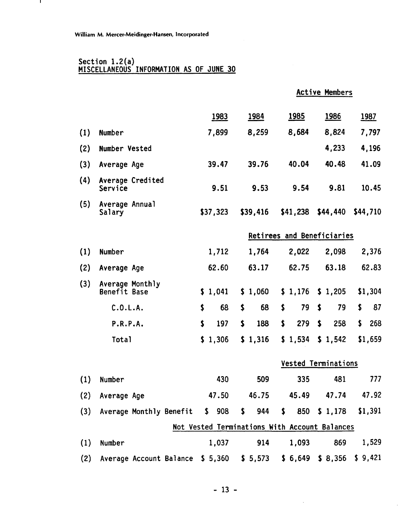$\mathbf{I}$ 

#### Section 1.2(a) MISCELLANEOUS INFORMATION AS OF JUNE 30

Active Members

|     |                                           | <u>1983</u> | <u>1984</u>                                   | <u>1985</u>                | <b>1986</b>                | <u>1987</u> |
|-----|-------------------------------------------|-------------|-----------------------------------------------|----------------------------|----------------------------|-------------|
| (1) | Number                                    | 7,899       | 8,259                                         | 8,684                      | 8,824                      | 7,797       |
| (2) | Number Vested                             |             |                                               |                            | 4,233                      | 4,196       |
| (3) | Average Age                               | 39.47       | 39.76                                         | 40.04                      | 40.48                      | 41.09       |
| (4) | Average Credited<br>Service               | 9.51        | 9.53                                          | 9.54                       | 9.81                       | 10.45       |
| (5) | Average Annual<br>Salary                  | \$37,323    | \$39,416                                      | \$41,238                   | \$44,440                   | \$44,710    |
|     |                                           |             |                                               | Retirees and Beneficiaries |                            |             |
| (1) | Number                                    | 1,712       | 1,764                                         | 2,022                      | 2,098                      | 2,376       |
| (2) | Average Age                               | 62.60       | 63.17                                         | 62.75                      | 63.18                      | 62.83       |
| (3) | Average Monthly<br>Benefit Base           | \$1,041     | \$1,060                                       | \$1,176                    | \$1,205                    | \$1,304     |
|     | C.0.L.A.                                  | \$<br>68    | \$<br>68                                      | \$<br>79                   | \$<br>79                   | 87<br>\$    |
|     | P.R.P.A.                                  | \$<br>197   | \$<br>188                                     | \$<br>279                  | \$<br>258                  | \$<br>268   |
|     | <b>Total</b>                              | \$1,306     | \$1,316                                       | \$1,534                    | \$1,542                    | \$1,659     |
|     |                                           |             |                                               |                            | <b>Vested Terminations</b> |             |
| (1) | Number                                    | 430         | 509                                           | 335                        | 481                        | 777         |
| (2) | Average Age                               | 47.50       | 46.75                                         | 45.49                      | 47.74                      | 47.92       |
|     | (3) Average Monthly Benefit \$ 908        |             | $\mathsf{S}$<br>944                           |                            | $$850$ $$1,178$ $$1,391$   |             |
|     |                                           |             | Not Vested Terminations With Account Balances |                            |                            |             |
| (1) | Number                                    | 1,037       | 914                                           | 1,093                      | 869                        | 1,529       |
| (2) | Average Account Balance \$ 5,360 \$ 5,573 |             |                                               |                            | \$6,649\$3,356             | \$9,421     |

 $\hat{\mathcal{A}}$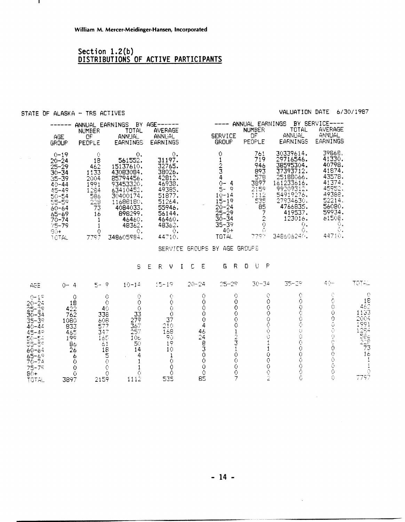## Section 1.2(b)<br>DISTRIBUTIONS OF ACTIVE PARTICIPANTS

#### STATE OF ALASKA - TRS ACTIVES

L.

#### VALUATION DATE 6/30/1987

 $\hat{\mathcal{A}}$ 

 $\ddot{\phantom{a}}$ 

|                                                                                                                                                                               | AGE<br>GROUP                                                                                                                                                         | <b>NUMBER</b><br>OF<br>PEOPLE                                                                        | ANNUAL EARNINGS BY AGE------<br><b>TOTAL</b><br><b>ANNUAL</b><br>EARNINGS                                                                                                                                                                        | AVERAGE<br>ANNUAL<br>EARNINGS                                                                                                                    |                                        | -----<br><b>SERVICE</b><br><b>GROUP</b>                                                                                                       | ANNUAL EARNINGS<br><b>NUMBER</b><br>OF<br>PEOPLE                                                                          | TOTAL<br>ANNUAL<br>EARNINGS                                                                                                                                                    | BY SERVICE<br>AVERAGE<br>ANNUAL<br>EARNINGS                                                                                                |                                                                            |
|-------------------------------------------------------------------------------------------------------------------------------------------------------------------------------|----------------------------------------------------------------------------------------------------------------------------------------------------------------------|------------------------------------------------------------------------------------------------------|--------------------------------------------------------------------------------------------------------------------------------------------------------------------------------------------------------------------------------------------------|--------------------------------------------------------------------------------------------------------------------------------------------------|----------------------------------------|-----------------------------------------------------------------------------------------------------------------------------------------------|---------------------------------------------------------------------------------------------------------------------------|--------------------------------------------------------------------------------------------------------------------------------------------------------------------------------|--------------------------------------------------------------------------------------------------------------------------------------------|----------------------------------------------------------------------------|
|                                                                                                                                                                               | $0 - 19$<br>$20 - 24$<br>$25 - 29$<br>$30 - 34$<br>$35 - 39$<br>$40 - 44$<br>$45 - 49$<br>50-54<br>55-59<br>60-64<br>65-69<br>$70 - 74$<br>$75 - 79$<br>90+<br>TOTAL | $\bigcirc$<br>18<br>462<br>1133<br>2004<br>1991<br>$\frac{1284}{566}$<br>73<br>-16<br>1<br>Ō<br>7797 | Ο.<br>561552.<br>15137610.<br>43083084.<br>85794456.<br>93453320.<br>63410452.<br>30400174.<br>11688180.<br>4084033.<br>898299.<br>46460.<br>48362.<br>Ο.<br>348605984.                                                                          | 0.<br>31197.<br>32765.<br>38026.<br>42812.<br>46938.<br>49385.<br>$51877.$<br>51264.<br>55946.<br>56144.<br>46460.<br>48362.<br>Ō.<br>44710.     |                                        | O<br>$\frac{1}{2}$ $\frac{2}{3}$<br>$0 - 4$<br>5-9<br>$10-14$<br>15-19<br>$20 - 24$<br>$25 - 29$<br>$30 - 34$<br>$35 - 39$<br>$4()+$<br>TOTAL | 761<br>719<br>946<br>893<br>578<br>3897<br>2159<br>1112<br>535<br>85<br>$\frac{7}{2}$<br>$\langle \cdot \rangle$<br>7797. | 30339614.<br>29716546.<br>38595304.<br>37393712.<br>25188066.<br>161233616.<br>99209312,<br>54919276,<br>27934630,<br>4766835.<br>419537.<br>123016.<br>О.<br>G.<br>3486062401 | 39868.<br>41330.<br>40798.<br>41874.<br>43578.<br>41374.<br>45952.<br>49388.<br>52214.<br>56080.<br>59934.<br>61508.<br>Ō.<br>Ò.<br>44710. |                                                                            |
|                                                                                                                                                                               |                                                                                                                                                                      |                                                                                                      |                                                                                                                                                                                                                                                  |                                                                                                                                                  | SERVICE GROUPS                         | BY AGE GROUFE                                                                                                                                 |                                                                                                                           |                                                                                                                                                                                |                                                                                                                                            |                                                                            |
|                                                                                                                                                                               |                                                                                                                                                                      |                                                                                                      | S                                                                                                                                                                                                                                                | E<br>R.<br>V                                                                                                                                     | Ε<br>C.<br>$\bf{I}$                    | $\mathsf R$<br>G.                                                                                                                             | P<br>$\Box$<br>- 13                                                                                                       |                                                                                                                                                                                |                                                                                                                                            |                                                                            |
| AGE                                                                                                                                                                           | $() - 4$                                                                                                                                                             | $5 - 9$                                                                                              | $10 - 14$                                                                                                                                                                                                                                        | $15 - 19$                                                                                                                                        | $20 - 24$                              | $25 - 29$                                                                                                                                     | $30 - 34$                                                                                                                 | 35-39                                                                                                                                                                          | 40~                                                                                                                                        | TOTAL                                                                      |
| $0 - 1$<br>$20 - 24$<br>25-29<br>$30 - 34$<br>$35 - 39$<br>$40 - 44$<br>$45 - 49$<br>$50 - 54$<br>55-59<br>$60 - 64$<br>$65 - 69$<br>$70 - 74$<br>$75 - 75$<br>$60+$<br>TOTAL | 0<br>18<br>422<br>762033596<br>26<br>6<br>$\ddot{\rm o}$<br>$\ddot{\rm{o}}$<br>Ŏ.<br>3897                                                                            | 338<br>$rac{608}{577}$<br>347<br>165<br>2159                                                         | 0<br>O<br>$\bullet$<br>Ò<br>$\bullet$<br>40<br>$\frac{33}{27}$<br>$\frac{279}{257}$<br>$10\epsilon$<br>50<br>$\pm 1$<br>14<br>$\begin{array}{c} 18 \\ 5 \\ 0 \end{array}$<br>4<br>1<br>$\rm \ddot{\rm O}$<br>$\overline{O}$<br>Ō<br>$111\bar{2}$ | $\bigcirc$<br>0<br>$\langle \cdot \rangle$<br>$\mathcal{O}$<br>37<br>$2\overline{1}0$<br>168<br>90.<br>19<br>10<br>1<br>$\circ$<br>0<br>Ō<br>535 | Ō<br>4248300<br>$\tilde{Q}$<br>Ò<br>85 | 0<br>0<br>0000123100007                                                                                                                       | Q.<br>0<br>0000001100002                                                                                                  | O<br>0<br>0000000000000<br>Ğ                                                                                                                                                   | $\frac{1}{2}$<br>00000000000<br>Ŏ                                                                                                          | $\mathcal{O}$<br>1823<br>1133691822341<br>120992522711<br>$\frac{1}{7797}$ |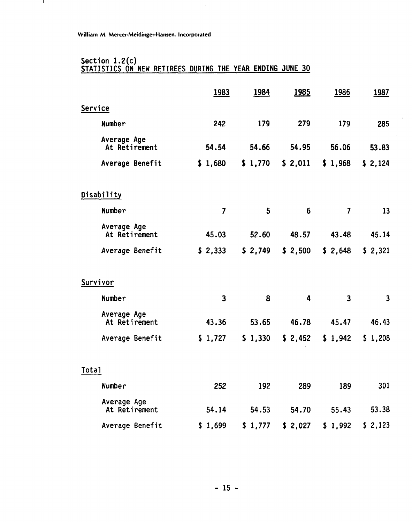$\mathbf{I}$ 

### Section 1.2 (c) STATISTICS ON NEW RETIREES DURING THE YEAR ENDING JUNE 30

|                              | <u>1983</u>             | <u>1984</u> | <u>1985</u>    | <u>1986</u>             | <u>1987</u>             |
|------------------------------|-------------------------|-------------|----------------|-------------------------|-------------------------|
| Service                      |                         |             |                |                         |                         |
| Number                       | 242                     | 179         | 279            | 179                     | 285                     |
| Average Age<br>At Retirement | 54.54                   | 54.66       | 54.95          | 56.06                   | 53.83                   |
| Average Benefit              | \$1,680                 | \$1,770     | \$2,011        | \$1,968                 | \$2,124                 |
| <b>Disability</b>            |                         |             |                |                         |                         |
| Number                       | $\overline{\mathbf{z}}$ | 5           | $6\phantom{1}$ | $\overline{\mathbf{z}}$ | 13                      |
| Average Age<br>At Retirement | 45.03                   | 52.60       | 48.57          | 43.48                   | 45.14                   |
| Average Benefit              | \$2,333                 | \$2,749     | \$2,500        | \$2,648                 | \$2,321                 |
| Survivor                     |                         |             |                |                         |                         |
| Number                       | 3                       | 8           | $\overline{4}$ | 3                       | $\overline{\mathbf{3}}$ |
| Average Age<br>At Retirement | 43.36                   | 53.65       | 46.78          | 45.47                   | 46.43                   |
| Average Benefit              | \$1,727                 | \$1,330     | \$2,452        | \$1,942                 | \$1,208                 |
| Total                        |                         |             |                |                         |                         |
| Number                       | 252                     | 192         | 289            | 189                     | 301                     |
| Average Age<br>At Retirement | 54.14                   | 54.53       | 54.70          | 55.43                   | 53.38                   |
| Average Benefit              | \$1,699                 | \$1,777     | \$2,027        | \$1,992                 | \$2,123                 |

 $\overline{a}$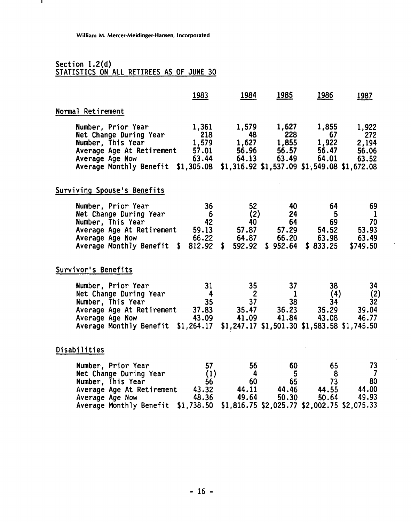# Section 1.2(d)<br>STATISTICS ON ALL RETIREES AS OF JUNE 30

 $\mathbf{I}$ 

|                                                                                                                                                                                                                             | 1983                        | 1984                                                | <b>1985</b>                                          | 1986                                                                   | 1987                                          |
|-----------------------------------------------------------------------------------------------------------------------------------------------------------------------------------------------------------------------------|-----------------------------|-----------------------------------------------------|------------------------------------------------------|------------------------------------------------------------------------|-----------------------------------------------|
| Normal Retirement                                                                                                                                                                                                           |                             |                                                     |                                                      |                                                                        |                                               |
| Number, Prior Year<br>Net Change During Year<br>Number, This Year<br>Average Age At Retirement 57.01 56.96 56.57<br>Average Age Now 63.44<br>Average Monthly Benefit \$1,305.08 \$1,316.92 \$1,537.09 \$1,549.08 \$1,672.08 | 1,361<br>218                | 1,579<br>48<br>1,579 1,627 1,855 1,922 2,194        | 1,627<br>228                                         | 1,855<br>67<br>56.47<br>64.13 63.49 64.01                              | 1,922<br>272<br>56.06<br>63.52                |
| Surviving Spouse's Benefits                                                                                                                                                                                                 |                             |                                                     |                                                      |                                                                        |                                               |
| Number, Prior Year<br>Net Change During Year<br>Number, This Year<br>Average Age At Retirement 59.13<br>Average Age Now 66.22<br>Average Monthly Benefit $$812.92 $592.92$                                                  | 36<br>$6\overline{6}$<br>42 | 52<br>(2)<br>40<br>64.87                            | - 40<br>24<br>64<br>57.87 57.29<br>66.20<br>\$952.64 | - 64<br>-5<br>69<br>54.52<br>63.98<br>\$833.25                         | 69<br>- 1<br>70<br>53.93<br>63.49<br>\$749.50 |
| Survivor's Benefits                                                                                                                                                                                                         |                             |                                                     |                                                      |                                                                        |                                               |
| Number, Prior Year<br>Net Change During Year<br>Number, This Year<br>Average Age At Retirement 37.83<br>Average Age Now 43.09<br>Average Monthly Benefit \$1,264.17 \$1,247.17 \$1,501.30 \$1,583.58 \$1,745.50             | 31<br>$\overline{4}$        | 35 <sub>2</sub><br>$\overline{2}$<br>37<br>$35 - 1$ | 37 <sub>2</sub><br>$\mathbf{1}$<br>38                | 38 <sup>°</sup><br>(4)<br>34<br>35.47 36.23 35.29<br>41.09 41.84 43.08 | 34<br>(2)<br>32<br>39.04<br>46.77             |
| Disabilities                                                                                                                                                                                                                |                             |                                                     |                                                      |                                                                        |                                               |
| Number, Prior Year<br>Net Change During Year<br>Number, This Year<br>Average Age At Retirement 43.32 44.11<br>Average Age Now 48.36 49.64<br>Average Monthly Benefit \$1,738.50 \$1,816.75 \$2,025.77 \$2,002.75 \$2,075.33 | 57<br>(1)<br>56             | 56<br>$\overline{4}$<br>60                          | 60 l<br>$5\overline{)}$<br>65<br>44.46<br>50.30      | 65<br>- 8<br>73<br>44.55<br>50.64                                      | 73<br>$\overline{J}$<br>80<br>44.00<br>49.93  |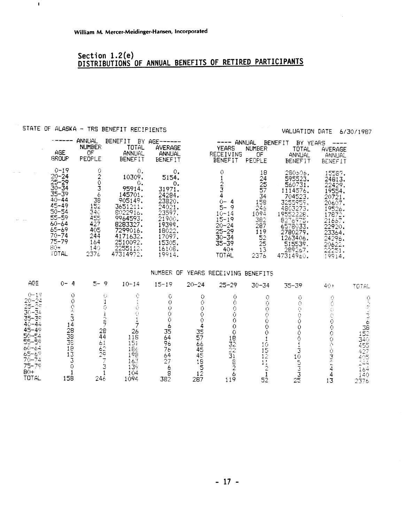## **Sect i on 1.2 (e) DISTRIBUTIONS OF ANNUAL BENEFITS OF RETIRED PARTICIPANTS**

## STATE OF ALASKA - TRS BENEFIT RECIPIENTS

 $\bar{\mathbf{I}}$ 

 $\omega_{\rm{max}}$ 

#### VALUATION DATE 6/30/1987

|                                                                                                                                                                         |                                                                                   |                                                                                                                                                                 |                                                                                                                                           |                                                                                                                                                   |                                                                                                        | YOLUOILUR UOILU                                                                                                                                                              | - 57                                                                                                                                               |
|-------------------------------------------------------------------------------------------------------------------------------------------------------------------------|-----------------------------------------------------------------------------------|-----------------------------------------------------------------------------------------------------------------------------------------------------------------|-------------------------------------------------------------------------------------------------------------------------------------------|---------------------------------------------------------------------------------------------------------------------------------------------------|--------------------------------------------------------------------------------------------------------|------------------------------------------------------------------------------------------------------------------------------------------------------------------------------|----------------------------------------------------------------------------------------------------------------------------------------------------|
| AGE<br><b>GROUP</b>                                                                                                                                                     | ANNUAL<br><b>NUMBER</b><br>0F.<br>FEORLE                                          | BENEFIT BY<br>TOTAL<br><b>ANNUAL</b><br><b>BENEFIT</b>                                                                                                          | $AGE$ ------<br>AVERAGE<br>ANNUAL<br><b>BENEFIT</b>                                                                                       | ------<br><b>YEARS</b><br><b>RECEIVING</b><br><b>BENEFIT</b>                                                                                      | ANNUAL<br><b>NUMBER</b><br>ΟF<br>PEOPLE                                                                | <b>BENEFIT</b><br>BY YEARS<br>TOTAL<br>ANNUAL<br><b>BENEFIT</b>                                                                                                              | AVERAGE<br>ANNUAL<br><b>BENEFIT</b>                                                                                                                |
| $0 - 19$<br>$20 - 24$<br>$25 - 29$<br>$30 - 34$<br>$35 - 39$<br>$40 - 44$<br>$45 - 49$<br>$50 - 54$<br>55-59<br>$60 - 64$<br>65-69<br>70-74<br>75-79<br>$BC +$<br>TOTAL | 0<br>Ō<br>6<br>38<br>152<br>340<br>455<br>427<br>405<br>244<br>164<br>140<br>2376 | Ο.<br>10309.<br>ο.<br>95914.<br>145701.<br>905149.<br>3651211.<br>8022916.<br>9964593.<br>8283327.<br>7299016.<br>4171632.<br>2510092.<br>2255112.<br>47314972. | ο.<br>5154.<br>0.<br>31971.<br>24284.<br>23820.<br>24021.<br>23597.<br>21900.<br>19399.<br>18022.<br>17097.<br>15305.<br>16108.<br>19914. | O<br><del>بر</del><br>4<br>$Q-$<br>4<br>$5-$<br>9<br>$10 - 14$<br>$15 - 19$<br>$20 - 24$<br>$25 - 29$<br>$30 - 34$<br>$35 - 39$<br>$40+$<br>TOTAL | 18<br>$\frac{24}{25}$<br>57<br>34<br>158<br>246<br>1094<br>382<br>287<br>119<br>52<br>25<br>13<br>2376 | 280506.<br>595523.<br>560731.<br>1114576.<br>704523.<br>3255959.<br>4803273.<br>19552228.<br>8276975.<br>6578033.<br>2780279.<br>1263406.<br>515539.<br>289267.<br>47314960. | 15587.<br>24813.<br>22429.<br>19554.<br>20721.<br>20607.<br>19526.<br>17872.<br>21667.<br>22920.<br>23364.<br>24296.<br>20622.<br>22251.<br>19914. |

#### NUMBER OF YEARS RECEIVING BENEFITS

| AGE                                                                                                                                                                                | $0 - 4$                                 | $5 - 9$                               | $10 - 14$                                                   | $15 - 19$                               | $20 - 24$                               | $25 - 29$                   | $30 - 34$      | 35-39 | $40+$ | <b>TOTAL</b>                                                       |
|------------------------------------------------------------------------------------------------------------------------------------------------------------------------------------|-----------------------------------------|---------------------------------------|-------------------------------------------------------------|-----------------------------------------|-----------------------------------------|-----------------------------|----------------|-------|-------|--------------------------------------------------------------------|
| $0 - 19$<br>$20 - 24$<br>$25 - 25$<br>$30 - 34$<br>$35 - 39$<br>$40 - 44$<br>$45 - 49$<br>$50 - 54$<br>$55 - 59$<br>60-64<br>$65 - 69$<br>$70 - 74$<br>$75 - 79$<br>$80+$<br>TOTAL | 14<br>28<br>38<br>38<br>18<br>13<br>158 | 28<br>44<br>61<br>$^{62}_{29}$<br>246 | 26<br>118<br>15i<br>186<br>198<br>163<br>139<br>104<br>1094 | 35<br>64<br>96<br>76<br>64<br>27<br>382 | 35<br>57<br>66<br>45<br>45<br>18<br>287 | 18<br>32<br>22<br>31<br>119 | 10<br>15<br>52 | 25    | ک ا   | 38<br>152<br>340<br>455<br>427<br>405<br>244<br>164<br>140<br>2376 |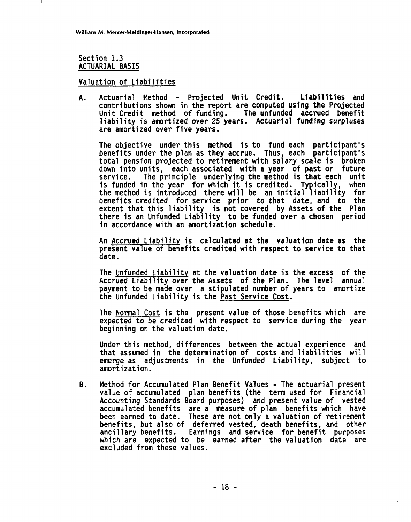**Section 1.3 ACTUARIAL BASIS** 

**Valuation of Liabilities** 

**A. Actuarial Method** - **Projected Unit Credit. Liabilities and contributions shown in the report are computed using the Projected**  Unit Credit method of funding. **1 iabi 1 ity is amortized over 25 years. Actuarial funding surpluses**  are amortized over five years.

**The objective under this method is to fund each participant's benefits under the plan as they accrue. Thus, each participant's total pension projected to retirement with salary scale is broken down into units, each associated with a year of past or future service. The principle underlying the method is that each unit is funded in the year for which it is credited. Typically, when the method is introduced there will be an initial liability for benefits credited for service prior to that date, and to the extent that this liability is not covered by Assets of the Plan there is an Unfunded Liability to be funded over a chosen period in accordance with an amortization schedule.** 

**An Accrued Liability is calculated at the valuation date as the present value of benefits credited with respect to service to that date.** 

**The Unfunded Liability at the valuation date is the excess of the Accrued Liability over the Assets of the Plan. The level annual payment to be mde over a stipulated number of years to amortize the Unfunded Liability is the Past Service Cost.** 

**The Normal Cost is the present value of those benefits which are expected to be credited with respect to service during the year beginning on the valuation date.** 

**Under this method, differences between the actual experience and that assumed in the determination of costs and liabilities will emerge as adjustments in the Unfunded Liability, subject to amortization.** 

**B. Method for Accumulated Plan Benefit Values** - **The actuarial present value of accumulated plan benefits (the term used for Financial**  Accounting Standards Board purposes) and present value of vested **accumulated benefits are a measure of plan benefits which have been earned to date. These are not only a valuation of retirement benefits, but also of deferred vested, death benefits, and other anci 11 ary benefits. Earnings and service for benefit purposes which are expected to be earned after the valuation date are excluded from these values.**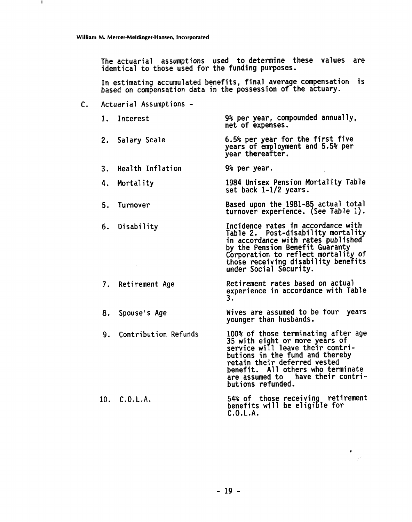т.

The actuarial assumptions used to determine these values are identical to those used for the funding purposes.

In estimating accumulated benefits, final average compensation is based on compensation data in the possession of the actuary.

C. Actuarial Assumptions -

|    | 1. Interest         | 9% per year, compounded annually.<br>net of expenses.                                                                                                                                                                                                     |
|----|---------------------|-----------------------------------------------------------------------------------------------------------------------------------------------------------------------------------------------------------------------------------------------------------|
|    | 2. Salary Scale     | 6.5% per year for the first five<br>years of employment and 5.5% per<br>year thereafter.                                                                                                                                                                  |
|    | 3. Health Inflation | 9% per year.                                                                                                                                                                                                                                              |
| 4. | Mortality           | 1984 Unisex Pension Mortality Table<br>set back 1-1/2 years.                                                                                                                                                                                              |
| 5. | Turnover            | Based upon the 1981-85 actual total<br>turnover experience. (See Table 1).                                                                                                                                                                                |
|    | 6. Disability       | Incidence rates in accordance with<br>Table 2. Post-disability mortality<br>in accordance with rates published<br>by the Pension Benefit Guaranty<br>Corporation to reflect mortality of<br>those receiving disability benefits<br>under Social Security. |
|    | 7. Retirement Age   | Retirement rates based on actual<br>experience in accordance with Table<br>3.                                                                                                                                                                             |
| 8. | Spouse's Age        | Wives are assumed to be four years<br>younger than husbands.                                                                                                                                                                                              |

9. Contribution Refunds 10. C.O.L.A. 100% of those terminating after age<br>35 with eight or more years of service wi **9** 1 leave their contrioutions in the fund and thereby<br>retain their deferred vested benefit. All others who terminate are assumed to have their contributions refunded. 54% of those receiving retirement C.O.L.A. butions refunded.<br>54% of those receiving retir<br>penefits will be eligible for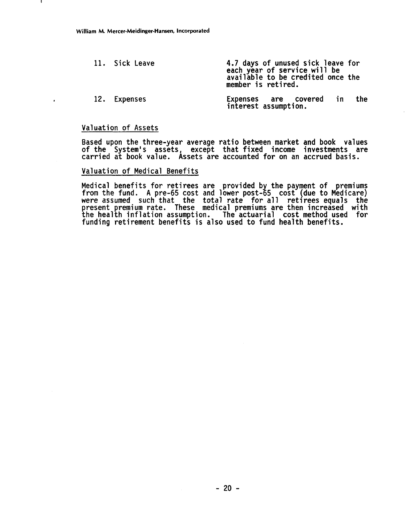| 11. Sick Leave | 4.7 days of unused sick leave for<br>each year of service will be<br>available to be credited once the<br>member is retired. |     |
|----------------|------------------------------------------------------------------------------------------------------------------------------|-----|
| 12. Expenses   | Expenses are covered in<br>interest assumption.                                                                              | the |

#### **Valuation of Assets**

**Based upon the three-year average ratio between market and book values of the System's assets, except that fixed income investments are carried at book value. Assets are accounted for on an accrued basis.** 

#### **Valuation of Medical Benefits**

Medical benefits for retirees are provided by the payment of premiums **from the fund. A pre-65 cost and lower post- g 5 cost (due to Medicare) were assumed such that the total rate for all retirees equals the present premium rate. These medical premiums are then increased with the health inflation assumption. The actuarial cost method used for funding retirement benefits is also used to fund health benefits.**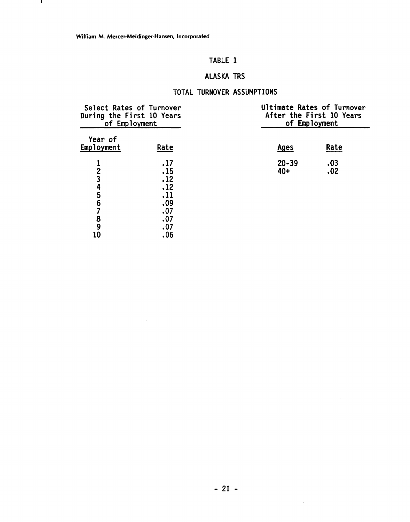$\mathbf{I}$ 

## TABLE **1**

## ALASKA TRS

## TOTAL TURNOVER ASSUMPTIONS

| Select Rates of Turnover<br>During the First 10 Years<br>of Employment |                                                      | Ultimate Rates of Turnover<br>After the First 10 Years<br>of Employment |            |  |
|------------------------------------------------------------------------|------------------------------------------------------|-------------------------------------------------------------------------|------------|--|
| Year of<br>Employment                                                  | Rate                                                 | <b>Ages</b>                                                             | Rate       |  |
| $\overline{c}$<br>3<br>4<br>5<br>6<br>8                                | .17<br>.15<br>.12<br>.12<br>.11<br>.09<br>.07<br>.07 | $20 - 39$<br>40+                                                        | .03<br>.02 |  |
| 9<br>10                                                                | .07<br>.06                                           |                                                                         |            |  |

 $\sim$   $\sim$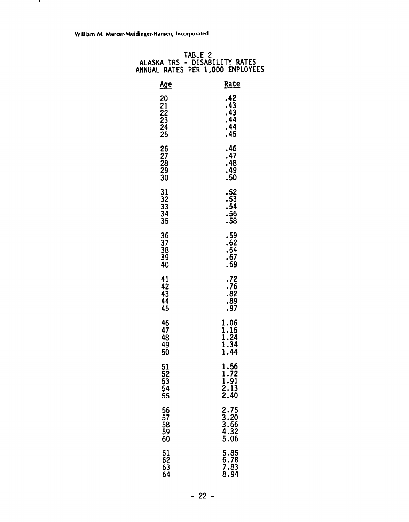- 11

| ALASKA TRS                                                        | TABLE 2<br>- DISABILITY RATES<br>ANNUAL RATES PER 1,000 EMPLOYEES |
|-------------------------------------------------------------------|-------------------------------------------------------------------|
| <u>Age</u>                                                        | Rate                                                              |
| 20<br>21<br>$\frac{2}{2}$<br>$\frac{2}{3}$<br>$\frac{2}{4}$<br>25 | .42<br>.43<br>.43<br>.44<br>.44<br>.45                            |
| 26<br>$\frac{27}{28}$<br>29<br>30                                 | . 46<br>.47<br>.48<br>.49<br>.50                                  |
| 31<br>32<br>33<br>34<br>35                                        | .52<br>.53<br>.54<br>.56<br>.58                                   |
| 36<br>37<br>38<br>39<br>40                                        | .59<br>.62<br>.64<br>.67<br>.69                                   |
| 41<br>42<br>43<br>44<br>45                                        | .72<br>.76<br>.82<br>.89<br>.97                                   |
| 46<br>47<br>48<br>49<br>50                                        | 1.06<br>1.15<br>1.24<br>1.34<br>1.44                              |
| 51<br>$\overline{52}$<br>53<br>54<br>55                           | 1.56<br>$\frac{1.72}{1.91}$<br>2.13<br>2.40                       |
| 56<br>57<br>58<br>59<br>60                                        | $2.75$<br>$3.20$<br>3.66<br>4.32<br>5.06                          |
| 61<br>62<br>63<br>64                                              | 5.85<br>6.78<br>7.83<br>8.94                                      |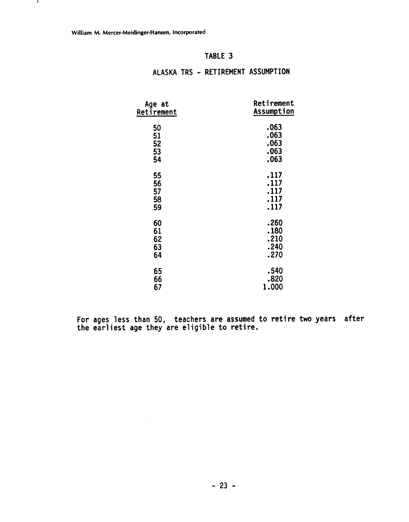$\sim$ 

 $\mathbf{I}$ 

## TABLE 3

| Age at     | Retirement        |
|------------|-------------------|
| Retirement | <b>Assumption</b> |
|            | .063              |
| 50         |                   |
| 51         | .063              |
| 52         | .063              |
| 53         | .063              |
| 54         | .063              |
| 55         | .117              |
| 56         | .117              |
|            | .117              |
| 57         |                   |
| 58         | .117              |
| 59         | .117              |
| 60         | .260              |
| 61         | .180              |
| 62         | .210              |
| 63         | .240              |
|            |                   |
| 64         | .270              |
| 65         | .540              |
| 66         | .820              |
| 67         | 1.000             |
|            |                   |

## ALASKA TRS - RETIREMENT ASSUMPTION

For ages less than 50, teachers are assumed to retire two years after the earliest age they are eligible to retire.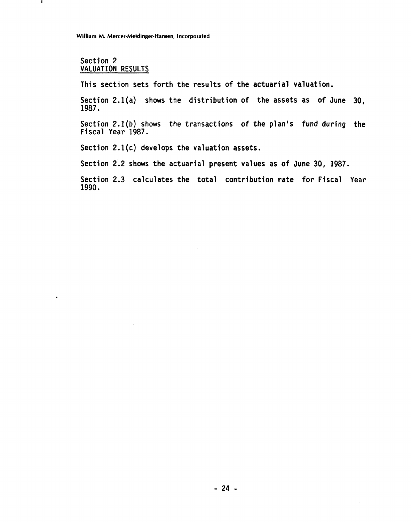#### Section 2 VALUATION RESULTS

 $\mathbf{I}$ 

 $\bullet$ 

This section sets forth the results of the actuarial valuation.

Section 2.l(a) shows the distribution of the assets as of June 30, 1987.

Section **Z.l(b)** shows the transactions of the plan's fund during the Fiscal Year 1987.

Section 2.1(c) develops the valuation assets.

Section 2.2 shows the actuarial present values as of June 30, 1987.

Section 2.3 calculates the total contribution rate for Fiscal Year 1990.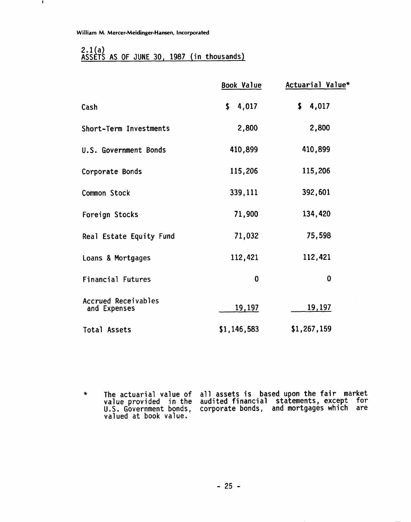$\mathbf{I}$ 

## 2.1(a)<br>ASSETS AS OF JUNE 30, 1987 (in thousands)

|                                            | <b>Book Value</b> | Actuarial Value* |
|--------------------------------------------|-------------------|------------------|
| Cash                                       | \$4,017           | \$4,017          |
| Short-Term Investments                     | 2,800             | 2,800            |
| U.S. Government Bonds                      | 410,899           | 410,899          |
| Corporate Bonds                            | 115,206           | 115,206          |
| Common Stock                               | 339,111           | 392,601          |
| Foreign Stocks                             | 71,900            | 134,420          |
| Real Estate Equity Fund                    | 71,032            | 75,598           |
| Loans & Mortgages                          | 112,421           | 112,421          |
| Financial Futures                          | $\bf{0}$          | 0                |
| <b>Accrued Receivables</b><br>and Expenses | <u>19,197</u>     | 19,197           |
| Total Assets                               | \$1,146,583       | \$1,267,159      |

\* The actuarial value of a1 **1** assets is based upon the fair market value provided in the audited financial statements, except for U. S. Government bonds, corporate bonds, and mortgages which are valued at book value.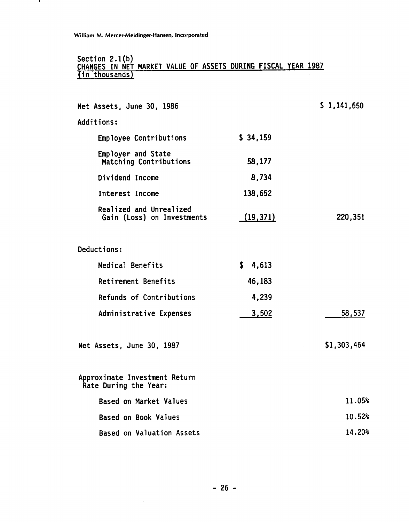- 1

#### **Section 2.l(b) CHANGES IN NET MARKET VALUE OF ASSETS DURING FISCAL YEAR 1987 lin thousands)**

| Net Assets, June 30, 1986                              |              | \$1,141,650 |
|--------------------------------------------------------|--------------|-------------|
| Additions:                                             |              |             |
| Employee Contributions                                 | \$34,159     |             |
| Employer and State<br>Matching Contributions           | 58,177       |             |
| Dividend Income                                        | 8,734        |             |
| Interest Income                                        | 138,652      |             |
| Realized and Unrealized<br>Gain (Loss) on Investments  | (19, 371)    | 220,351     |
| Deductions:                                            |              |             |
| Medical Benefits                                       | \$.<br>4,613 |             |
| Retirement Benefits                                    | 46,183       |             |
| Refunds of Contributions                               | 4,239        |             |
| Administrative Expenses                                | 3,502        | 58,537      |
| Net Assets, June 30, 1987                              |              | \$1,303,464 |
| Approximate Investment Return<br>Rate During the Year: |              |             |
| Based on Market Values                                 |              | 11.05%      |
| Based on Book Values                                   |              | 10.52%      |
| Based on Valuation Assets                              |              | 14.20%      |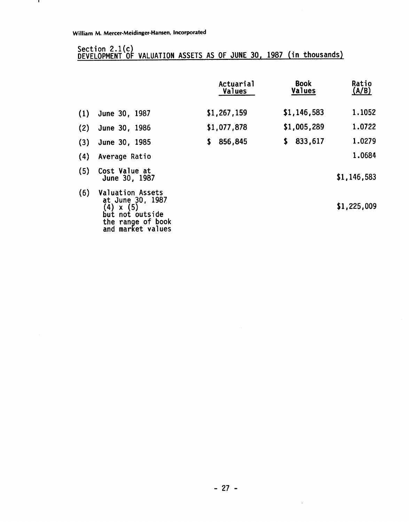$\mathbf{I}$ 

## Section 2.1(c)<br>DEVELOPMENT OF VALUATION ASSETS AS OF JUNE 30, 1987 (in thousands)

|     |                                                                                                                                           | Actuarial<br>Values | <b>Book</b><br>Values | Ratio<br>(A/B) |
|-----|-------------------------------------------------------------------------------------------------------------------------------------------|---------------------|-----------------------|----------------|
| (1) | June 30, 1987                                                                                                                             | \$1,267,159         | \$1,146,583           | 1.1052         |
| (2) | June 30, 1986                                                                                                                             | \$1,077,878         | \$1,005,289           | 1.0722         |
| (3) | June 30, 1985                                                                                                                             | 856,845<br>S.       | 833,617<br>S.         | 1.0279         |
| (4) | Average Ratio                                                                                                                             |                     |                       | 1.0684         |
| (5) | Cost Value at<br>June 30, 1987                                                                                                            |                     |                       | \$1,146,583    |
| (6) | <b>Valuation Assets</b><br>at June 30, 1987<br>(4)<br>(5)<br>$\mathsf{x}$<br>not outside<br>but<br>the range of book<br>and market values |                     |                       | \$1,225,009    |

 $\sim$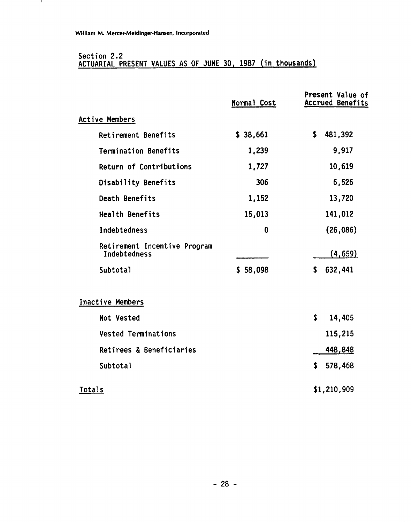$\mathbf{I}$ 

#### **Section 2.2 ACTUARIAL PRESENT VALUES AS OF JUNE 30, 1987 (in thousands)**

|                                              | Normal Cost | Present Value of<br><b>Accrued Benefits</b> |
|----------------------------------------------|-------------|---------------------------------------------|
| <b>Active Members</b>                        |             |                                             |
| Retirement Benefits                          | \$38,661    | \$<br>481,392                               |
| Termination Benefits                         | 1,239       | 9,917                                       |
| Return of Contributions                      | 1,727       | 10,619                                      |
| Disability Benefits                          | 306         | 6,526                                       |
| Death Benefits                               | 1,152       | 13,720                                      |
| <b>Health Benefits</b>                       | 15,013      | 141,012                                     |
| Indebtedness                                 | 0           | (26, 086)                                   |
| Retirement Incentive Program<br>Indebtedness |             | (4, 659)                                    |
| <b>Subtotal</b>                              | \$58,098    | 632,441<br>\$                               |
| Inactive Members                             |             |                                             |
| Not Vested                                   |             | \$<br>14,405                                |
| <b>Vested Terminations</b>                   |             | 115,215                                     |
| Retirees & Beneficiaries                     |             | 448,848                                     |
| Subtotal                                     |             | \$<br>578,468                               |
| Totals                                       |             | \$1,210,909                                 |